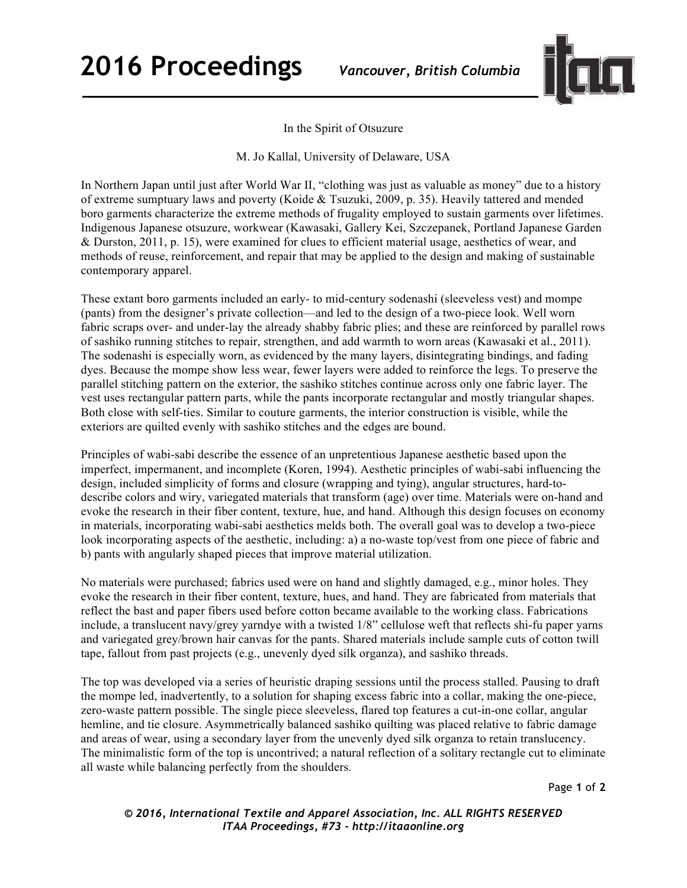

In the Spirit of Otsuzure

M. Jo Kallal, University of Delaware, USA

In Northern Japan until just after World War II, "clothing was just as valuable as money" due to a history of extreme sumptuary laws and poverty (Koide & Tsuzuki, 2009, p. 35). Heavily tattered and mended boro garments characterize the extreme methods of frugality employed to sustain garments over lifetimes. Indigenous Japanese otsuzure, workwear (Kawasaki, Gallery Kei, Szczepanek, Portland Japanese Garden & Durston, 2011, p. 15), were examined for clues to efficient material usage, aesthetics of wear, and methods of reuse, reinforcement, and repair that may be applied to the design and making of sustainable contemporary apparel.

These extant boro garments included an early- to mid-century sodenashi (sleeveless vest) and mompe (pants) from the designer's private collection—and led to the design of a two-piece look. Well worn fabric scraps over- and under-lay the already shabby fabric plies; and these are reinforced by parallel rows of sashiko running stitches to repair, strengthen, and add warmth to worn areas (Kawasaki et al., 2011). The sodenashi is especially worn, as evidenced by the many layers, disintegrating bindings, and fading dyes. Because the mompe show less wear, fewer layers were added to reinforce the legs. To preserve the parallel stitching pattern on the exterior, the sashiko stitches continue across only one fabric layer. The vest uses rectangular pattern parts, while the pants incorporate rectangular and mostly triangular shapes. Both close with self-ties. Similar to couture garments, the interior construction is visible, while the exteriors are quilted evenly with sashiko stitches and the edges are bound.

Principles of wabi-sabi describe the essence of an unpretentious Japanese aesthetic based upon the imperfect, impermanent, and incomplete (Koren, 1994). Aesthetic principles of wabi-sabi influencing the design, included simplicity of forms and closure (wrapping and tying), angular structures, hard-todescribe colors and wiry, variegated materials that transform (age) over time. Materials were on-hand and evoke the research in their fiber content, texture, hue, and hand. Although this design focuses on economy in materials, incorporating wabi-sabi aesthetics melds both. The overall goal was to develop a two-piece look incorporating aspects of the aesthetic, including: a) a no-waste top/vest from one piece of fabric and b) pants with angularly shaped pieces that improve material utilization.

No materials were purchased; fabrics used were on hand and slightly damaged, e.g., minor holes. They evoke the research in their fiber content, texture, hues, and hand. They are fabricated from materials that reflect the bast and paper fibers used before cotton became available to the working class. Fabrications include, a translucent navy/grey yarndye with a twisted 1/8" cellulose weft that reflects shi-fu paper yarns and variegated grey/brown hair canvas for the pants. Shared materials include sample cuts of cotton twill tape, fallout from past projects (e.g., unevenly dyed silk organza), and sashiko threads.

The top was developed via a series of heuristic draping sessions until the process stalled. Pausing to draft the mompe led, inadvertently, to a solution for shaping excess fabric into a collar, making the one-piece, zero-waste pattern possible. The single piece sleeveless, flared top features a cut-in-one collar, angular hemline, and tie closure. Asymmetrically balanced sashiko quilting was placed relative to fabric damage and areas of wear, using a secondary layer from the unevenly dyed silk organza to retain translucency. The minimalistic form of the top is uncontrived; a natural reflection of a solitary rectangle cut to eliminate all waste while balancing perfectly from the shoulders.

Page **1** of **2**

*© 2016, International Textile and Apparel Association, Inc. ALL RIGHTS RESERVED ITAA Proceedings, #73 – http://itaaonline.org*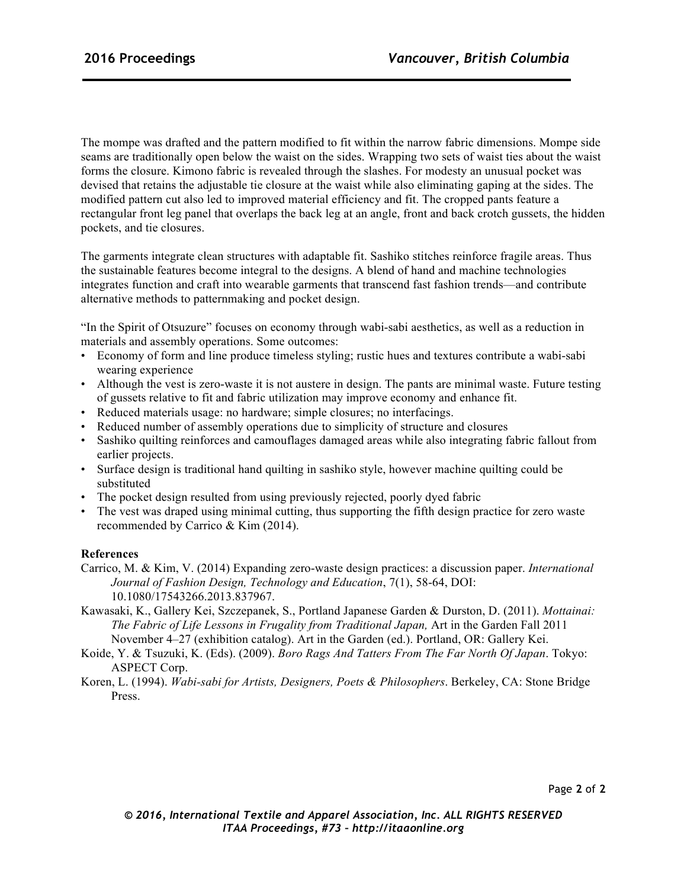The mompe was drafted and the pattern modified to fit within the narrow fabric dimensions. Mompe side seams are traditionally open below the waist on the sides. Wrapping two sets of waist ties about the waist forms the closure. Kimono fabric is revealed through the slashes. For modesty an unusual pocket was devised that retains the adjustable tie closure at the waist while also eliminating gaping at the sides. The modified pattern cut also led to improved material efficiency and fit. The cropped pants feature a rectangular front leg panel that overlaps the back leg at an angle, front and back crotch gussets, the hidden pockets, and tie closures.

The garments integrate clean structures with adaptable fit. Sashiko stitches reinforce fragile areas. Thus the sustainable features become integral to the designs. A blend of hand and machine technologies integrates function and craft into wearable garments that transcend fast fashion trends—and contribute alternative methods to patternmaking and pocket design.

"In the Spirit of Otsuzure" focuses on economy through wabi-sabi aesthetics, as well as a reduction in materials and assembly operations. Some outcomes:

- Economy of form and line produce timeless styling; rustic hues and textures contribute a wabi-sabi wearing experience
- Although the vest is zero-waste it is not austere in design. The pants are minimal waste. Future testing of gussets relative to fit and fabric utilization may improve economy and enhance fit.
- Reduced materials usage: no hardware; simple closures; no interfacings.
- Reduced number of assembly operations due to simplicity of structure and closures
- Sashiko quilting reinforces and camouflages damaged areas while also integrating fabric fallout from earlier projects.
- Surface design is traditional hand quilting in sashiko style, however machine quilting could be substituted
- The pocket design resulted from using previously rejected, poorly dyed fabric
- The vest was draped using minimal cutting, thus supporting the fifth design practice for zero waste recommended by Carrico & Kim (2014).

## **References**

- Carrico, M. & Kim, V. (2014) Expanding zero-waste design practices: a discussion paper. *International Journal of Fashion Design, Technology and Education*, 7(1), 58-64, DOI: 10.1080/17543266.2013.837967.
- Kawasaki, K., Gallery Kei, Szczepanek, S., Portland Japanese Garden & Durston, D. (2011). *Mottainai: The Fabric of Life Lessons in Frugality from Traditional Japan,* Art in the Garden Fall 2011 November 4–27 (exhibition catalog). Art in the Garden (ed.). Portland, OR: Gallery Kei.
- Koide, Y. & Tsuzuki, K. (Eds). (2009). *Boro Rags And Tatters From The Far North Of Japan*. Tokyo: ASPECT Corp.
- Koren, L. (1994). *Wabi-sabi for Artists, Designers, Poets & Philosophers*. Berkeley, CA: Stone Bridge Press.